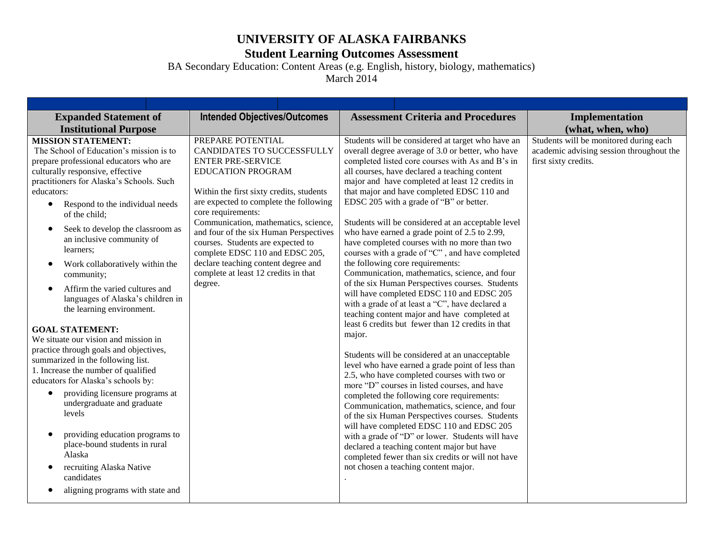## **UNIVERSITY OF ALASKA FAIRBANKS**

## **Student Learning Outcomes Assessment**

BA Secondary Education: Content Areas (e.g. English, history, biology, mathematics)

March 2014

| <b>Intended Objectives/Outcomes</b><br><b>Expanded Statement of</b><br><b>Assessment Criteria and Procedures</b><br>Implementation<br><b>Institutional Purpose</b><br>(what, when, who)<br>Students will be monitored during each<br>Students will be considered at target who have an<br><b>MISSION STATEMENT:</b><br>PREPARE POTENTIAL<br>The School of Education's mission is to<br>CANDIDATES TO SUCCESSFULLY<br>overall degree average of 3.0 or better, who have<br>academic advising session throughout the<br>completed listed core courses with As and B's in<br>first sixty credits.<br>prepare professional educators who are<br><b>ENTER PRE-SERVICE</b><br>culturally responsive, effective<br>all courses, have declared a teaching content<br><b>EDUCATION PROGRAM</b><br>practitioners for Alaska's Schools. Such<br>major and have completed at least 12 credits in<br>that major and have completed EDSC 110 and<br>educators:<br>Within the first sixty credits, students<br>are expected to complete the following<br>EDSC 205 with a grade of "B" or better.<br>Respond to the individual needs<br>$\bullet$<br>core requirements:<br>of the child;<br>Communication, mathematics, science,<br>Students will be considered at an acceptable level<br>Seek to develop the classroom as<br>who have earned a grade point of 2.5 to 2.99,<br>and four of the six Human Perspectives<br>an inclusive community of<br>have completed courses with no more than two<br>courses. Students are expected to<br>learners;<br>courses with a grade of "C", and have completed<br>complete EDSC 110 and EDSC 205,<br>declare teaching content degree and<br>the following core requirements:<br>Work collaboratively within the<br>$\bullet$<br>complete at least 12 credits in that<br>Communication, mathematics, science, and four<br>community;<br>of the six Human Perspectives courses. Students<br>degree.<br>Affirm the varied cultures and<br>will have completed EDSC 110 and EDSC 205<br>languages of Alaska's children in<br>with a grade of at least a "C", have declared a<br>the learning environment.<br>teaching content major and have completed at<br>least 6 credits but fewer than 12 credits in that<br><b>GOAL STATEMENT:</b><br>major.<br>We situate our vision and mission in<br>practice through goals and objectives,<br>Students will be considered at an unacceptable<br>summarized in the following list.<br>level who have earned a grade point of less than<br>1. Increase the number of qualified<br>2.5, who have completed courses with two or<br>educators for Alaska's schools by:<br>more "D" courses in listed courses, and have<br>providing licensure programs at<br>completed the following core requirements:<br>undergraduate and graduate<br>Communication, mathematics, science, and four<br>levels<br>of the six Human Perspectives courses. Students<br>will have completed EDSC 110 and EDSC 205<br>providing education programs to<br>with a grade of "D" or lower. Students will have<br>place-bound students in rural<br>declared a teaching content major but have<br>Alaska<br>completed fewer than six credits or will not have<br>not chosen a teaching content major.<br>recruiting Alaska Native<br>candidates<br>aligning programs with state and |  |  |
|-----------------------------------------------------------------------------------------------------------------------------------------------------------------------------------------------------------------------------------------------------------------------------------------------------------------------------------------------------------------------------------------------------------------------------------------------------------------------------------------------------------------------------------------------------------------------------------------------------------------------------------------------------------------------------------------------------------------------------------------------------------------------------------------------------------------------------------------------------------------------------------------------------------------------------------------------------------------------------------------------------------------------------------------------------------------------------------------------------------------------------------------------------------------------------------------------------------------------------------------------------------------------------------------------------------------------------------------------------------------------------------------------------------------------------------------------------------------------------------------------------------------------------------------------------------------------------------------------------------------------------------------------------------------------------------------------------------------------------------------------------------------------------------------------------------------------------------------------------------------------------------------------------------------------------------------------------------------------------------------------------------------------------------------------------------------------------------------------------------------------------------------------------------------------------------------------------------------------------------------------------------------------------------------------------------------------------------------------------------------------------------------------------------------------------------------------------------------------------------------------------------------------------------------------------------------------------------------------------------------------------------------------------------------------------------------------------------------------------------------------------------------------------------------------------------------------------------------------------------------------------------------------------------------------------------------------------------------------------------------------------------------------------------------------------------------------------------------------------------------------------------------------------------------------------------------------------------------------------------------------------------------------------------------------------------------------|--|--|
|                                                                                                                                                                                                                                                                                                                                                                                                                                                                                                                                                                                                                                                                                                                                                                                                                                                                                                                                                                                                                                                                                                                                                                                                                                                                                                                                                                                                                                                                                                                                                                                                                                                                                                                                                                                                                                                                                                                                                                                                                                                                                                                                                                                                                                                                                                                                                                                                                                                                                                                                                                                                                                                                                                                                                                                                                                                                                                                                                                                                                                                                                                                                                                                                                                                                                                                       |  |  |
|                                                                                                                                                                                                                                                                                                                                                                                                                                                                                                                                                                                                                                                                                                                                                                                                                                                                                                                                                                                                                                                                                                                                                                                                                                                                                                                                                                                                                                                                                                                                                                                                                                                                                                                                                                                                                                                                                                                                                                                                                                                                                                                                                                                                                                                                                                                                                                                                                                                                                                                                                                                                                                                                                                                                                                                                                                                                                                                                                                                                                                                                                                                                                                                                                                                                                                                       |  |  |
|                                                                                                                                                                                                                                                                                                                                                                                                                                                                                                                                                                                                                                                                                                                                                                                                                                                                                                                                                                                                                                                                                                                                                                                                                                                                                                                                                                                                                                                                                                                                                                                                                                                                                                                                                                                                                                                                                                                                                                                                                                                                                                                                                                                                                                                                                                                                                                                                                                                                                                                                                                                                                                                                                                                                                                                                                                                                                                                                                                                                                                                                                                                                                                                                                                                                                                                       |  |  |
|                                                                                                                                                                                                                                                                                                                                                                                                                                                                                                                                                                                                                                                                                                                                                                                                                                                                                                                                                                                                                                                                                                                                                                                                                                                                                                                                                                                                                                                                                                                                                                                                                                                                                                                                                                                                                                                                                                                                                                                                                                                                                                                                                                                                                                                                                                                                                                                                                                                                                                                                                                                                                                                                                                                                                                                                                                                                                                                                                                                                                                                                                                                                                                                                                                                                                                                       |  |  |
|                                                                                                                                                                                                                                                                                                                                                                                                                                                                                                                                                                                                                                                                                                                                                                                                                                                                                                                                                                                                                                                                                                                                                                                                                                                                                                                                                                                                                                                                                                                                                                                                                                                                                                                                                                                                                                                                                                                                                                                                                                                                                                                                                                                                                                                                                                                                                                                                                                                                                                                                                                                                                                                                                                                                                                                                                                                                                                                                                                                                                                                                                                                                                                                                                                                                                                                       |  |  |
|                                                                                                                                                                                                                                                                                                                                                                                                                                                                                                                                                                                                                                                                                                                                                                                                                                                                                                                                                                                                                                                                                                                                                                                                                                                                                                                                                                                                                                                                                                                                                                                                                                                                                                                                                                                                                                                                                                                                                                                                                                                                                                                                                                                                                                                                                                                                                                                                                                                                                                                                                                                                                                                                                                                                                                                                                                                                                                                                                                                                                                                                                                                                                                                                                                                                                                                       |  |  |
|                                                                                                                                                                                                                                                                                                                                                                                                                                                                                                                                                                                                                                                                                                                                                                                                                                                                                                                                                                                                                                                                                                                                                                                                                                                                                                                                                                                                                                                                                                                                                                                                                                                                                                                                                                                                                                                                                                                                                                                                                                                                                                                                                                                                                                                                                                                                                                                                                                                                                                                                                                                                                                                                                                                                                                                                                                                                                                                                                                                                                                                                                                                                                                                                                                                                                                                       |  |  |
|                                                                                                                                                                                                                                                                                                                                                                                                                                                                                                                                                                                                                                                                                                                                                                                                                                                                                                                                                                                                                                                                                                                                                                                                                                                                                                                                                                                                                                                                                                                                                                                                                                                                                                                                                                                                                                                                                                                                                                                                                                                                                                                                                                                                                                                                                                                                                                                                                                                                                                                                                                                                                                                                                                                                                                                                                                                                                                                                                                                                                                                                                                                                                                                                                                                                                                                       |  |  |
|                                                                                                                                                                                                                                                                                                                                                                                                                                                                                                                                                                                                                                                                                                                                                                                                                                                                                                                                                                                                                                                                                                                                                                                                                                                                                                                                                                                                                                                                                                                                                                                                                                                                                                                                                                                                                                                                                                                                                                                                                                                                                                                                                                                                                                                                                                                                                                                                                                                                                                                                                                                                                                                                                                                                                                                                                                                                                                                                                                                                                                                                                                                                                                                                                                                                                                                       |  |  |
|                                                                                                                                                                                                                                                                                                                                                                                                                                                                                                                                                                                                                                                                                                                                                                                                                                                                                                                                                                                                                                                                                                                                                                                                                                                                                                                                                                                                                                                                                                                                                                                                                                                                                                                                                                                                                                                                                                                                                                                                                                                                                                                                                                                                                                                                                                                                                                                                                                                                                                                                                                                                                                                                                                                                                                                                                                                                                                                                                                                                                                                                                                                                                                                                                                                                                                                       |  |  |
|                                                                                                                                                                                                                                                                                                                                                                                                                                                                                                                                                                                                                                                                                                                                                                                                                                                                                                                                                                                                                                                                                                                                                                                                                                                                                                                                                                                                                                                                                                                                                                                                                                                                                                                                                                                                                                                                                                                                                                                                                                                                                                                                                                                                                                                                                                                                                                                                                                                                                                                                                                                                                                                                                                                                                                                                                                                                                                                                                                                                                                                                                                                                                                                                                                                                                                                       |  |  |
|                                                                                                                                                                                                                                                                                                                                                                                                                                                                                                                                                                                                                                                                                                                                                                                                                                                                                                                                                                                                                                                                                                                                                                                                                                                                                                                                                                                                                                                                                                                                                                                                                                                                                                                                                                                                                                                                                                                                                                                                                                                                                                                                                                                                                                                                                                                                                                                                                                                                                                                                                                                                                                                                                                                                                                                                                                                                                                                                                                                                                                                                                                                                                                                                                                                                                                                       |  |  |
|                                                                                                                                                                                                                                                                                                                                                                                                                                                                                                                                                                                                                                                                                                                                                                                                                                                                                                                                                                                                                                                                                                                                                                                                                                                                                                                                                                                                                                                                                                                                                                                                                                                                                                                                                                                                                                                                                                                                                                                                                                                                                                                                                                                                                                                                                                                                                                                                                                                                                                                                                                                                                                                                                                                                                                                                                                                                                                                                                                                                                                                                                                                                                                                                                                                                                                                       |  |  |
|                                                                                                                                                                                                                                                                                                                                                                                                                                                                                                                                                                                                                                                                                                                                                                                                                                                                                                                                                                                                                                                                                                                                                                                                                                                                                                                                                                                                                                                                                                                                                                                                                                                                                                                                                                                                                                                                                                                                                                                                                                                                                                                                                                                                                                                                                                                                                                                                                                                                                                                                                                                                                                                                                                                                                                                                                                                                                                                                                                                                                                                                                                                                                                                                                                                                                                                       |  |  |
|                                                                                                                                                                                                                                                                                                                                                                                                                                                                                                                                                                                                                                                                                                                                                                                                                                                                                                                                                                                                                                                                                                                                                                                                                                                                                                                                                                                                                                                                                                                                                                                                                                                                                                                                                                                                                                                                                                                                                                                                                                                                                                                                                                                                                                                                                                                                                                                                                                                                                                                                                                                                                                                                                                                                                                                                                                                                                                                                                                                                                                                                                                                                                                                                                                                                                                                       |  |  |
|                                                                                                                                                                                                                                                                                                                                                                                                                                                                                                                                                                                                                                                                                                                                                                                                                                                                                                                                                                                                                                                                                                                                                                                                                                                                                                                                                                                                                                                                                                                                                                                                                                                                                                                                                                                                                                                                                                                                                                                                                                                                                                                                                                                                                                                                                                                                                                                                                                                                                                                                                                                                                                                                                                                                                                                                                                                                                                                                                                                                                                                                                                                                                                                                                                                                                                                       |  |  |
|                                                                                                                                                                                                                                                                                                                                                                                                                                                                                                                                                                                                                                                                                                                                                                                                                                                                                                                                                                                                                                                                                                                                                                                                                                                                                                                                                                                                                                                                                                                                                                                                                                                                                                                                                                                                                                                                                                                                                                                                                                                                                                                                                                                                                                                                                                                                                                                                                                                                                                                                                                                                                                                                                                                                                                                                                                                                                                                                                                                                                                                                                                                                                                                                                                                                                                                       |  |  |
|                                                                                                                                                                                                                                                                                                                                                                                                                                                                                                                                                                                                                                                                                                                                                                                                                                                                                                                                                                                                                                                                                                                                                                                                                                                                                                                                                                                                                                                                                                                                                                                                                                                                                                                                                                                                                                                                                                                                                                                                                                                                                                                                                                                                                                                                                                                                                                                                                                                                                                                                                                                                                                                                                                                                                                                                                                                                                                                                                                                                                                                                                                                                                                                                                                                                                                                       |  |  |
|                                                                                                                                                                                                                                                                                                                                                                                                                                                                                                                                                                                                                                                                                                                                                                                                                                                                                                                                                                                                                                                                                                                                                                                                                                                                                                                                                                                                                                                                                                                                                                                                                                                                                                                                                                                                                                                                                                                                                                                                                                                                                                                                                                                                                                                                                                                                                                                                                                                                                                                                                                                                                                                                                                                                                                                                                                                                                                                                                                                                                                                                                                                                                                                                                                                                                                                       |  |  |
|                                                                                                                                                                                                                                                                                                                                                                                                                                                                                                                                                                                                                                                                                                                                                                                                                                                                                                                                                                                                                                                                                                                                                                                                                                                                                                                                                                                                                                                                                                                                                                                                                                                                                                                                                                                                                                                                                                                                                                                                                                                                                                                                                                                                                                                                                                                                                                                                                                                                                                                                                                                                                                                                                                                                                                                                                                                                                                                                                                                                                                                                                                                                                                                                                                                                                                                       |  |  |
|                                                                                                                                                                                                                                                                                                                                                                                                                                                                                                                                                                                                                                                                                                                                                                                                                                                                                                                                                                                                                                                                                                                                                                                                                                                                                                                                                                                                                                                                                                                                                                                                                                                                                                                                                                                                                                                                                                                                                                                                                                                                                                                                                                                                                                                                                                                                                                                                                                                                                                                                                                                                                                                                                                                                                                                                                                                                                                                                                                                                                                                                                                                                                                                                                                                                                                                       |  |  |
|                                                                                                                                                                                                                                                                                                                                                                                                                                                                                                                                                                                                                                                                                                                                                                                                                                                                                                                                                                                                                                                                                                                                                                                                                                                                                                                                                                                                                                                                                                                                                                                                                                                                                                                                                                                                                                                                                                                                                                                                                                                                                                                                                                                                                                                                                                                                                                                                                                                                                                                                                                                                                                                                                                                                                                                                                                                                                                                                                                                                                                                                                                                                                                                                                                                                                                                       |  |  |
|                                                                                                                                                                                                                                                                                                                                                                                                                                                                                                                                                                                                                                                                                                                                                                                                                                                                                                                                                                                                                                                                                                                                                                                                                                                                                                                                                                                                                                                                                                                                                                                                                                                                                                                                                                                                                                                                                                                                                                                                                                                                                                                                                                                                                                                                                                                                                                                                                                                                                                                                                                                                                                                                                                                                                                                                                                                                                                                                                                                                                                                                                                                                                                                                                                                                                                                       |  |  |
|                                                                                                                                                                                                                                                                                                                                                                                                                                                                                                                                                                                                                                                                                                                                                                                                                                                                                                                                                                                                                                                                                                                                                                                                                                                                                                                                                                                                                                                                                                                                                                                                                                                                                                                                                                                                                                                                                                                                                                                                                                                                                                                                                                                                                                                                                                                                                                                                                                                                                                                                                                                                                                                                                                                                                                                                                                                                                                                                                                                                                                                                                                                                                                                                                                                                                                                       |  |  |
|                                                                                                                                                                                                                                                                                                                                                                                                                                                                                                                                                                                                                                                                                                                                                                                                                                                                                                                                                                                                                                                                                                                                                                                                                                                                                                                                                                                                                                                                                                                                                                                                                                                                                                                                                                                                                                                                                                                                                                                                                                                                                                                                                                                                                                                                                                                                                                                                                                                                                                                                                                                                                                                                                                                                                                                                                                                                                                                                                                                                                                                                                                                                                                                                                                                                                                                       |  |  |
|                                                                                                                                                                                                                                                                                                                                                                                                                                                                                                                                                                                                                                                                                                                                                                                                                                                                                                                                                                                                                                                                                                                                                                                                                                                                                                                                                                                                                                                                                                                                                                                                                                                                                                                                                                                                                                                                                                                                                                                                                                                                                                                                                                                                                                                                                                                                                                                                                                                                                                                                                                                                                                                                                                                                                                                                                                                                                                                                                                                                                                                                                                                                                                                                                                                                                                                       |  |  |
|                                                                                                                                                                                                                                                                                                                                                                                                                                                                                                                                                                                                                                                                                                                                                                                                                                                                                                                                                                                                                                                                                                                                                                                                                                                                                                                                                                                                                                                                                                                                                                                                                                                                                                                                                                                                                                                                                                                                                                                                                                                                                                                                                                                                                                                                                                                                                                                                                                                                                                                                                                                                                                                                                                                                                                                                                                                                                                                                                                                                                                                                                                                                                                                                                                                                                                                       |  |  |
|                                                                                                                                                                                                                                                                                                                                                                                                                                                                                                                                                                                                                                                                                                                                                                                                                                                                                                                                                                                                                                                                                                                                                                                                                                                                                                                                                                                                                                                                                                                                                                                                                                                                                                                                                                                                                                                                                                                                                                                                                                                                                                                                                                                                                                                                                                                                                                                                                                                                                                                                                                                                                                                                                                                                                                                                                                                                                                                                                                                                                                                                                                                                                                                                                                                                                                                       |  |  |
|                                                                                                                                                                                                                                                                                                                                                                                                                                                                                                                                                                                                                                                                                                                                                                                                                                                                                                                                                                                                                                                                                                                                                                                                                                                                                                                                                                                                                                                                                                                                                                                                                                                                                                                                                                                                                                                                                                                                                                                                                                                                                                                                                                                                                                                                                                                                                                                                                                                                                                                                                                                                                                                                                                                                                                                                                                                                                                                                                                                                                                                                                                                                                                                                                                                                                                                       |  |  |
|                                                                                                                                                                                                                                                                                                                                                                                                                                                                                                                                                                                                                                                                                                                                                                                                                                                                                                                                                                                                                                                                                                                                                                                                                                                                                                                                                                                                                                                                                                                                                                                                                                                                                                                                                                                                                                                                                                                                                                                                                                                                                                                                                                                                                                                                                                                                                                                                                                                                                                                                                                                                                                                                                                                                                                                                                                                                                                                                                                                                                                                                                                                                                                                                                                                                                                                       |  |  |
|                                                                                                                                                                                                                                                                                                                                                                                                                                                                                                                                                                                                                                                                                                                                                                                                                                                                                                                                                                                                                                                                                                                                                                                                                                                                                                                                                                                                                                                                                                                                                                                                                                                                                                                                                                                                                                                                                                                                                                                                                                                                                                                                                                                                                                                                                                                                                                                                                                                                                                                                                                                                                                                                                                                                                                                                                                                                                                                                                                                                                                                                                                                                                                                                                                                                                                                       |  |  |
|                                                                                                                                                                                                                                                                                                                                                                                                                                                                                                                                                                                                                                                                                                                                                                                                                                                                                                                                                                                                                                                                                                                                                                                                                                                                                                                                                                                                                                                                                                                                                                                                                                                                                                                                                                                                                                                                                                                                                                                                                                                                                                                                                                                                                                                                                                                                                                                                                                                                                                                                                                                                                                                                                                                                                                                                                                                                                                                                                                                                                                                                                                                                                                                                                                                                                                                       |  |  |
|                                                                                                                                                                                                                                                                                                                                                                                                                                                                                                                                                                                                                                                                                                                                                                                                                                                                                                                                                                                                                                                                                                                                                                                                                                                                                                                                                                                                                                                                                                                                                                                                                                                                                                                                                                                                                                                                                                                                                                                                                                                                                                                                                                                                                                                                                                                                                                                                                                                                                                                                                                                                                                                                                                                                                                                                                                                                                                                                                                                                                                                                                                                                                                                                                                                                                                                       |  |  |
|                                                                                                                                                                                                                                                                                                                                                                                                                                                                                                                                                                                                                                                                                                                                                                                                                                                                                                                                                                                                                                                                                                                                                                                                                                                                                                                                                                                                                                                                                                                                                                                                                                                                                                                                                                                                                                                                                                                                                                                                                                                                                                                                                                                                                                                                                                                                                                                                                                                                                                                                                                                                                                                                                                                                                                                                                                                                                                                                                                                                                                                                                                                                                                                                                                                                                                                       |  |  |
|                                                                                                                                                                                                                                                                                                                                                                                                                                                                                                                                                                                                                                                                                                                                                                                                                                                                                                                                                                                                                                                                                                                                                                                                                                                                                                                                                                                                                                                                                                                                                                                                                                                                                                                                                                                                                                                                                                                                                                                                                                                                                                                                                                                                                                                                                                                                                                                                                                                                                                                                                                                                                                                                                                                                                                                                                                                                                                                                                                                                                                                                                                                                                                                                                                                                                                                       |  |  |
|                                                                                                                                                                                                                                                                                                                                                                                                                                                                                                                                                                                                                                                                                                                                                                                                                                                                                                                                                                                                                                                                                                                                                                                                                                                                                                                                                                                                                                                                                                                                                                                                                                                                                                                                                                                                                                                                                                                                                                                                                                                                                                                                                                                                                                                                                                                                                                                                                                                                                                                                                                                                                                                                                                                                                                                                                                                                                                                                                                                                                                                                                                                                                                                                                                                                                                                       |  |  |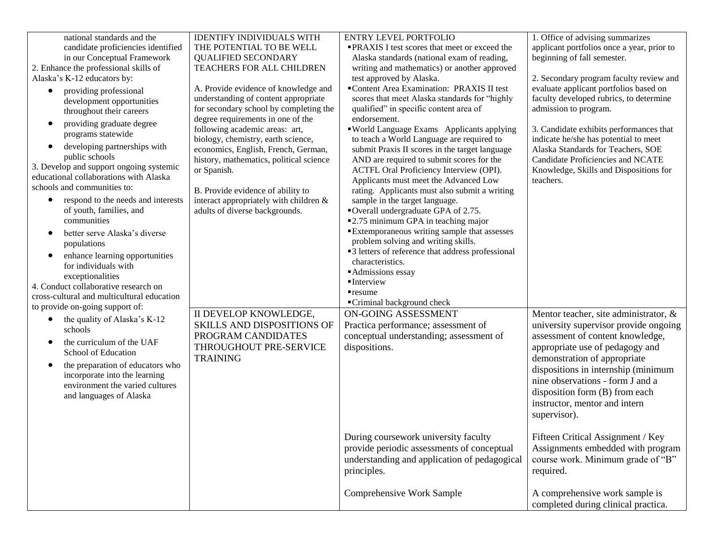| national standards and the<br>candidate proficiencies identified<br>in our Conceptual Framework<br>2. Enhance the professional skills of<br>Alaska's K-12 educators by:<br>providing professional<br>$\bullet$<br>development opportunities<br>throughout their careers<br>providing graduate degree<br>$\bullet$<br>programs statewide<br>developing partnerships with<br>$\bullet$<br>public schools<br>3. Develop and support ongoing systemic<br>educational collaborations with Alaska<br>schools and communities to:<br>respond to the needs and interests<br>$\bullet$<br>of youth, families, and | <b>IDENTIFY INDIVIDUALS WITH</b><br>THE POTENTIAL TO BE WELL<br><b>QUALIFIED SECONDARY</b><br><b>TEACHERS FOR ALL CHILDREN</b><br>A. Provide evidence of knowledge and<br>understanding of content appropriate<br>for secondary school by completing the<br>degree requirements in one of the<br>following academic areas: art,<br>biology, chemistry, earth science,<br>economics, English, French, German,<br>history, mathematics, political science<br>or Spanish.<br>B. Provide evidence of ability to<br>interact appropriately with children &<br>adults of diverse backgrounds. | <b>ENTRY LEVEL PORTFOLIO</b><br><b>PRAXIS I test scores that meet or exceed the</b><br>Alaska standards (national exam of reading,<br>writing and mathematics) or another approved<br>test approved by Alaska.<br>■Content Area Examination: PRAXIS II test<br>scores that meet Alaska standards for "highly<br>qualified" in specific content area of<br>endorsement.<br>"World Language Exams Applicants applying<br>to teach a World Language are required to<br>submit Praxis II scores in the target language<br>AND are required to submit scores for the<br>ACTFL Oral Proficiency Interview (OPI).<br>Applicants must meet the Advanced Low<br>rating. Applicants must also submit a writing<br>sample in the target language.<br>■Overall undergraduate GPA of 2.75. | 1. Office of advising summarizes<br>applicant portfolios once a year, prior to<br>beginning of fall semester.<br>2. Secondary program faculty review and<br>evaluate applicant portfolios based on<br>faculty developed rubrics, to determine<br>admission to program.<br>3. Candidate exhibits performances that<br>indicate he/she has potential to meet<br>Alaska Standards for Teachers, SOE<br>Candidate Proficiencies and NCATE<br>Knowledge, Skills and Dispositions for<br>teachers. |
|----------------------------------------------------------------------------------------------------------------------------------------------------------------------------------------------------------------------------------------------------------------------------------------------------------------------------------------------------------------------------------------------------------------------------------------------------------------------------------------------------------------------------------------------------------------------------------------------------------|-----------------------------------------------------------------------------------------------------------------------------------------------------------------------------------------------------------------------------------------------------------------------------------------------------------------------------------------------------------------------------------------------------------------------------------------------------------------------------------------------------------------------------------------------------------------------------------------|-------------------------------------------------------------------------------------------------------------------------------------------------------------------------------------------------------------------------------------------------------------------------------------------------------------------------------------------------------------------------------------------------------------------------------------------------------------------------------------------------------------------------------------------------------------------------------------------------------------------------------------------------------------------------------------------------------------------------------------------------------------------------------|----------------------------------------------------------------------------------------------------------------------------------------------------------------------------------------------------------------------------------------------------------------------------------------------------------------------------------------------------------------------------------------------------------------------------------------------------------------------------------------------|
| communities<br>better serve Alaska's diverse<br>$\bullet$<br>populations<br>enhance learning opportunities<br>$\bullet$<br>for individuals with<br>exceptionalities<br>4. Conduct collaborative research on<br>cross-cultural and multicultural education<br>to provide on-going support of:<br>the quality of Alaska's K-12<br>$\bullet$                                                                                                                                                                                                                                                                | II DEVELOP KNOWLEDGE,<br><b>SKILLS AND DISPOSITIONS OF</b>                                                                                                                                                                                                                                                                                                                                                                                                                                                                                                                              | ■2.75 minimum GPA in teaching major<br><b>Extemporaneous writing sample that assesses</b><br>problem solving and writing skills.<br>■3 letters of reference that address professional<br>characteristics.<br>Admissions essay<br>$\blacksquare$ Interview<br>$r$ resume<br>■Criminal background check<br>ON-GOING ASSESSMENT<br>Practica performance; assessment of                                                                                                                                                                                                                                                                                                                                                                                                           | Mentor teacher, site administrator, &<br>university supervisor provide ongoing                                                                                                                                                                                                                                                                                                                                                                                                               |
| schools<br>the curriculum of the UAF<br>$\bullet$<br>School of Education<br>the preparation of educators who<br>$\bullet$<br>incorporate into the learning<br>environment the varied cultures<br>and languages of Alaska                                                                                                                                                                                                                                                                                                                                                                                 | PROGRAM CANDIDATES<br>THROUGHOUT PRE-SERVICE<br><b>TRAINING</b>                                                                                                                                                                                                                                                                                                                                                                                                                                                                                                                         | conceptual understanding; assessment of<br>dispositions.                                                                                                                                                                                                                                                                                                                                                                                                                                                                                                                                                                                                                                                                                                                      | assessment of content knowledge,<br>appropriate use of pedagogy and<br>demonstration of appropriate<br>dispositions in internship (minimum<br>nine observations - form J and a<br>disposition form (B) from each<br>instructor, mentor and intern<br>supervisor).                                                                                                                                                                                                                            |
|                                                                                                                                                                                                                                                                                                                                                                                                                                                                                                                                                                                                          |                                                                                                                                                                                                                                                                                                                                                                                                                                                                                                                                                                                         | During coursework university faculty<br>provide periodic assessments of conceptual<br>understanding and application of pedagogical<br>principles.                                                                                                                                                                                                                                                                                                                                                                                                                                                                                                                                                                                                                             | Fifteen Critical Assignment / Key<br>Assignments embedded with program<br>course work. Minimum grade of "B"<br>required.                                                                                                                                                                                                                                                                                                                                                                     |
|                                                                                                                                                                                                                                                                                                                                                                                                                                                                                                                                                                                                          |                                                                                                                                                                                                                                                                                                                                                                                                                                                                                                                                                                                         | <b>Comprehensive Work Sample</b>                                                                                                                                                                                                                                                                                                                                                                                                                                                                                                                                                                                                                                                                                                                                              | A comprehensive work sample is<br>completed during clinical practica.                                                                                                                                                                                                                                                                                                                                                                                                                        |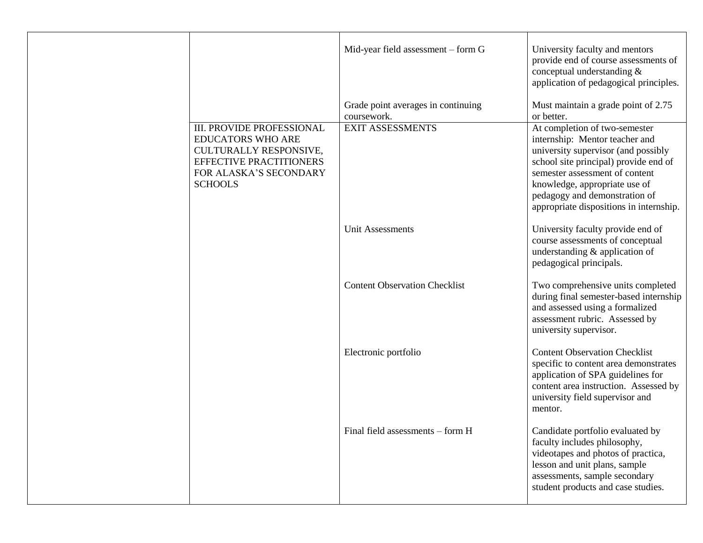|                                                                                                                                                               | Mid-year field assessment - form G<br>Grade point averages in continuing | University faculty and mentors<br>provide end of course assessments of<br>conceptual understanding &<br>application of pedagogical principles.<br>Must maintain a grade point of 2.75                                                                                                          |
|---------------------------------------------------------------------------------------------------------------------------------------------------------------|--------------------------------------------------------------------------|------------------------------------------------------------------------------------------------------------------------------------------------------------------------------------------------------------------------------------------------------------------------------------------------|
|                                                                                                                                                               | coursework.                                                              | or better.                                                                                                                                                                                                                                                                                     |
| <b>III. PROVIDE PROFESSIONAL</b><br><b>EDUCATORS WHO ARE</b><br>CULTURALLY RESPONSIVE,<br>EFFECTIVE PRACTITIONERS<br>FOR ALASKA'S SECONDARY<br><b>SCHOOLS</b> | <b>EXIT ASSESSMENTS</b>                                                  | At completion of two-semester<br>internship: Mentor teacher and<br>university supervisor (and possibly<br>school site principal) provide end of<br>semester assessment of content<br>knowledge, appropriate use of<br>pedagogy and demonstration of<br>appropriate dispositions in internship. |
|                                                                                                                                                               | <b>Unit Assessments</b>                                                  | University faculty provide end of<br>course assessments of conceptual<br>understanding & application of<br>pedagogical principals.                                                                                                                                                             |
|                                                                                                                                                               | <b>Content Observation Checklist</b>                                     | Two comprehensive units completed<br>during final semester-based internship<br>and assessed using a formalized<br>assessment rubric. Assessed by<br>university supervisor.                                                                                                                     |
|                                                                                                                                                               | Electronic portfolio                                                     | <b>Content Observation Checklist</b><br>specific to content area demonstrates<br>application of SPA guidelines for<br>content area instruction. Assessed by<br>university field supervisor and<br>mentor.                                                                                      |
|                                                                                                                                                               | Final field assessments - form H                                         | Candidate portfolio evaluated by<br>faculty includes philosophy,<br>videotapes and photos of practica,<br>lesson and unit plans, sample<br>assessments, sample secondary<br>student products and case studies.                                                                                 |